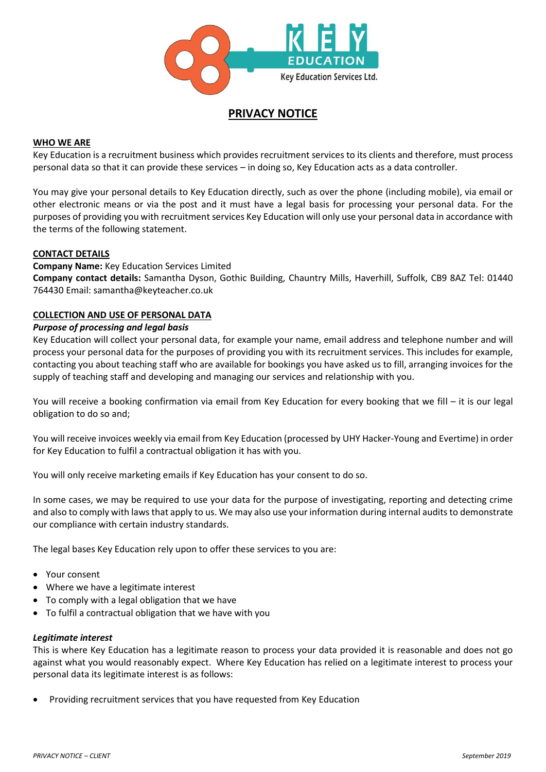

# **PRIVACY NOTICE**

### **WHO WE ARE**

Key Education is a recruitment business which provides recruitment services to its clients and therefore, must process personal data so that it can provide these services – in doing so, Key Education acts as a data controller.

You may give your personal details to Key Education directly, such as over the phone (including mobile), via email or other electronic means or via the post and it must have a legal basis for processing your personal data. For the purposes of providing you with recruitment services Key Education will only use your personal data in accordance with the terms of the following statement.

### **CONTACT DETAILS**

### **Company Name:** Key Education Services Limited

**Company contact details:** Samantha Dyson, Gothic Building, Chauntry Mills, Haverhill, Suffolk, CB9 8AZ Tel: 01440 764430 Email: samantha@keyteacher.co.uk

### **COLLECTION AND USE OF PERSONAL DATA**

### *Purpose of processing and legal basis*

Key Education will collect your personal data, for example your name, email address and telephone number and will process your personal data for the purposes of providing you with its recruitment services. This includes for example, contacting you about teaching staff who are available for bookings you have asked us to fill, arranging invoices for the supply of teaching staff and developing and managing our services and relationship with you.

You will receive a booking confirmation via email from Key Education for every booking that we fill – it is our legal obligation to do so and;

You will receive invoices weekly via email from Key Education (processed by UHY Hacker-Young and Evertime) in order for Key Education to fulfil a contractual obligation it has with you.

You will only receive marketing emails if Key Education has your consent to do so.

In some cases, we may be required to use your data for the purpose of investigating, reporting and detecting crime and also to comply with laws that apply to us. We may also use your information during internal audits to demonstrate our compliance with certain industry standards.

The legal bases Key Education rely upon to offer these services to you are:

- Your consent
- Where we have a legitimate interest
- To comply with a legal obligation that we have
- To fulfil a contractual obligation that we have with you

#### *Legitimate interest*

This is where Key Education has a legitimate reason to process your data provided it is reasonable and does not go against what you would reasonably expect. Where Key Education has relied on a legitimate interest to process your personal data its legitimate interest is as follows:

• Providing recruitment services that you have requested from Key Education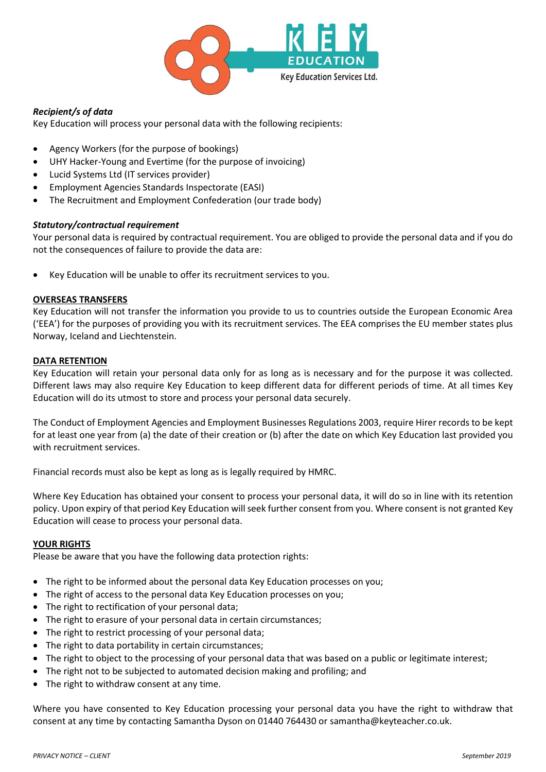

## *Recipient/s of data*

Key Education will process your personal data with the following recipients:

- Agency Workers (for the purpose of bookings)
- UHY Hacker-Young and Evertime (for the purpose of invoicing)
- Lucid Systems Ltd (IT services provider)
- Employment Agencies Standards Inspectorate (EASI)
- The Recruitment and Employment Confederation (our trade body)

### *Statutory/contractual requirement*

Your personal data is required by contractual requirement. You are obliged to provide the personal data and if you do not the consequences of failure to provide the data are:

Key Education will be unable to offer its recruitment services to you.

### **OVERSEAS TRANSFERS**

Key Education will not transfer the information you provide to us to countries outside the European Economic Area ('EEA') for the purposes of providing you with its recruitment services. The EEA comprises the EU member states plus Norway, Iceland and Liechtenstein.

### **DATA RETENTION**

Key Education will retain your personal data only for as long as is necessary and for the purpose it was collected. Different laws may also require Key Education to keep different data for different periods of time. At all times Key Education will do its utmost to store and process your personal data securely.

The Conduct of Employment Agencies and Employment Businesses Regulations 2003, require Hirer records to be kept for at least one year from (a) the date of their creation or (b) after the date on which Key Education last provided you with recruitment services.

Financial records must also be kept as long as is legally required by HMRC.

Where Key Education has obtained your consent to process your personal data, it will do so in line with its retention policy. Upon expiry of that period Key Education will seek further consent from you. Where consent is not granted Key Education will cease to process your personal data.

### **YOUR RIGHTS**

Please be aware that you have the following data protection rights:

- The right to be informed about the personal data Key Education processes on you;
- The right of access to the personal data Key Education processes on you;
- The right to rectification of your personal data;
- The right to erasure of your personal data in certain circumstances;
- The right to restrict processing of your personal data;
- The right to data portability in certain circumstances;
- The right to object to the processing of your personal data that was based on a public or legitimate interest;
- The right not to be subjected to automated decision making and profiling; and
- The right to withdraw consent at any time.

Where you have consented to Key Education processing your personal data you have the right to withdraw that consent at any time by contacting Samantha Dyson on 01440 764430 or samantha@keyteacher.co.uk.